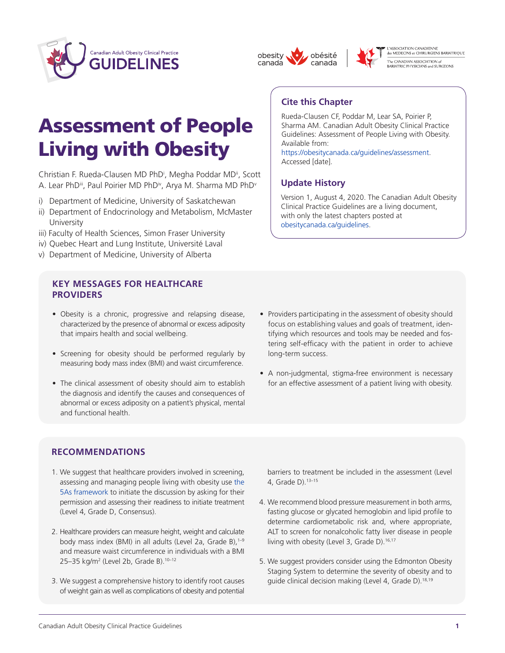





L'ASSOCIATION CANADIENNE<br>des MEDECINS et CHIRURGIENS BARIATRIQUE -<br>The CANADIAN ASSOCIATION of<br>BARIATRIC PHYSICIANS and SURGEONS

# Assessment of People Living with Obesity

Christian F. Rueda-Clausen MD PhD<sup>i</sup>, Megha Poddar MD<sup>ii</sup>, Scott A. Lear PhDii, Paul Poirier MD PhDiv, Arya M. Sharma MD PhDv

- i) Department of Medicine, University of Saskatchewan
- ii) Department of Endocrinology and Metabolism, McMaster University
- iii) Faculty of Health Sciences, Simon Fraser University
- iv) Quebec Heart and Lung Institute, Université Laval
- v) Department of Medicine, University of Alberta

# **KEY MESSAGES FOR HEALTHCARE PROVIDERS**

- Obesity is a chronic, progressive and relapsing disease, characterized by the presence of abnormal or excess adiposity that impairs health and social wellbeing.
- Screening for obesity should be performed regularly by measuring body mass index (BMI) and waist circumference.
- The clinical assessment of obesity should aim to establish the diagnosis and identify the causes and consequences of abnormal or excess adiposity on a patient's physical, mental and functional health.

# **Cite this Chapter**

Rueda-Clausen CF, Poddar M, Lear SA, Poirier P, Sharma AM. Canadian Adult Obesity Clinical Practice Guidelines: Assessment of People Living with Obesity. Available from:

[https://obesitycanada.ca/guidelines/assessment.](https://obesitycanada.ca/guidelines/assessment/) Accessed [date].

# **Update History**

Version 1, August 4, 2020. The Canadian Adult Obesity Clinical Practice Guidelines are a living document, with only the latest chapters posted at [obesitycanada.ca/guidelines.](https://obesitycanada.ca/guidelines/)

- Providers participating in the assessment of obesity should focus on establishing values and goals of treatment, identifying which resources and tools may be needed and fostering self-efficacy with the patient in order to achieve long-term success.
- A non-judgmental, stigma-free environment is necessary for an effective assessment of a patient living with obesity.

# **RECOMMENDATIONS**

- 1. We suggest that healthcare providers involved in screening, assessing and managing people living with obesity use [the](https://obesitycanada.ca/resources/5as/) 5As [framework](https://obesitycanada.ca/resources/5as/) to initiate the discussion by asking for their permission and assessing their readiness to initiate treatment (Level 4, Grade D, Consensus).
- 2. Healthcare providers can measure height, weight and calculate body mass index (BMI) in all adults (Level 2a, Grade B),  $1-9$ and measure waist circumference in individuals with a BMI 25–35 kg/m2 (Level 2b, Grade B).10–12
- 3. We suggest a comprehensive history to identify root causes of weight gain as well as complications of obesity and potential

 barriers to treatment be included in the assessment (Level 4, Grade D).13–15

- 4. We recommend blood pressure measurement in both arms, fasting glucose or glycated hemoglobin and lipid profile to determine cardiometabolic risk and, where appropriate, ALT to screen for nonalcoholic fatty liver disease in people living with obesity (Level 3, Grade D).<sup>16,17</sup>
- 5. We suggest providers consider using the Edmonton Obesity Staging System to determine the severity of obesity and to guide clinical decision making (Level 4, Grade D).<sup>18,19</sup>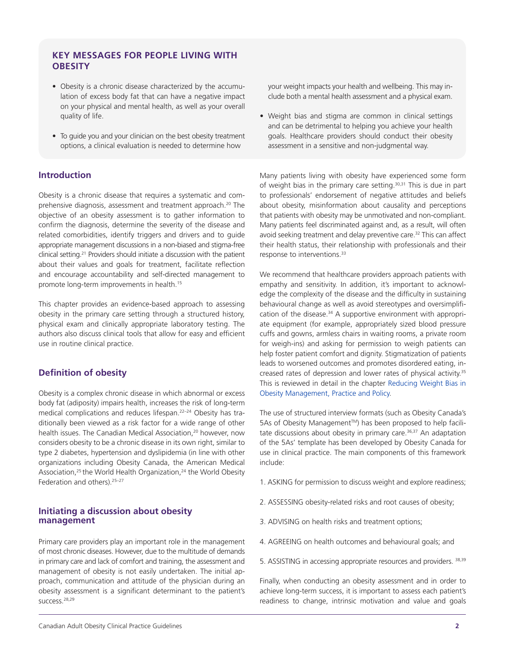# **KEY MESSAGES FOR PEOPLE LIVING WITH OBESITY**

- Obesity is a chronic disease characterized by the accumulation of excess body fat that can have a negative impact on your physical and mental health, as well as your overall quality of life.
- To guide you and your clinician on the best obesity treatment options, a clinical evaluation is needed to determine how

# **Introduction**

Obesity is a chronic disease that requires a systematic and comprehensive diagnosis, assessment and treatment approach.20 The objective of an obesity assessment is to gather information to confirm the diagnosis, determine the severity of the disease and related comorbidities, identify triggers and drivers and to guide appropriate management discussions in a non-biased and stigma-free clinical setting.21 Providers should initiate a discussion with the patient about their values and goals for treatment, facilitate reflection and encourage accountability and self-directed management to promote long-term improvements in health.<sup>15</sup>

This chapter provides an evidence-based approach to assessing obesity in the primary care setting through a structured history, physical exam and clinically appropriate laboratory testing. The authors also discuss clinical tools that allow for easy and efficient use in routine clinical practice.

# **Definition of obesity**

Obesity is a complex chronic disease in which abnormal or excess body fat (adiposity) impairs health, increases the risk of long-term medical complications and reduces lifespan.22–24 Obesity has traditionally been viewed as a risk factor for a wide range of other health issues. The Canadian Medical Association,<sup>20</sup> however, now considers obesity to be a chronic disease in its own right, similar to type 2 diabetes, hypertension and dyslipidemia (in line with other organizations including Obesity Canada, the American Medical Association,<sup>25</sup> the World Health Organization,<sup>24</sup> the World Obesity Federation and others).25–27

#### **Initiating a discussion about obesity management**

Primary care providers play an important role in the management of most chronic diseases. However, due to the multitude of demands in primary care and lack of comfort and training, the assessment and management of obesity is not easily undertaken. The initial approach, communication and attitude of the physician during an obesity assessment is a significant determinant to the patient's success.<sup>28,29</sup>

 your weight impacts your health and wellbeing. This may include both a mental health assessment and a physical exam.

• Weight bias and stigma are common in clinical settings and can be detrimental to helping you achieve your health goals. Healthcare providers should conduct their obesity assessment in a sensitive and non-judgmental way.

Many patients living with obesity have experienced some form of weight bias in the primary care setting.<sup>30,31</sup> This is due in part to professionals' endorsement of negative attitudes and beliefs about obesity, misinformation about causality and perceptions that patients with obesity may be unmotivated and non-compliant. Many patients feel discriminated against and, as a result, will often avoid seeking treatment and delay preventive care.<sup>32</sup> This can affect their health status, their relationship with professionals and their response to interventions.<sup>33</sup>

We recommend that healthcare providers approach patients with empathy and sensitivity. In addition, it's important to acknowledge the complexity of the disease and the difficulty in sustaining behavioural change as well as avoid stereotypes and oversimplification of the disease.<sup>34</sup> A supportive environment with appropriate equipment (for example, appropriately sized blood pressure cuffs and gowns, armless chairs in waiting rooms, a private room for weigh-ins) and asking for permission to weigh patients can help foster patient comfort and dignity. Stigmatization of patients leads to worsened outcomes and promotes disordered eating, increased rates of depression and lower rates of physical activity.<sup>35</sup> This is reviewed in detail in the chapter [Reducing](https://obesitycanada.ca/guidelines/weightbias/) Weight Bias in Obesity [Management,](https://obesitycanada.ca/guidelines/weightbias/) Practice and Policy.

The use of structured interview formats (such as Obesity Canada's 5As of Obesity Management™) has been proposed to help facilitate discussions about obesity in primary care.<sup>36,37</sup> An adaptation of the 5As' template has been developed by Obesity Canada for use in clinical practice. The main components of this framework include:

- 1. ASKING for permission to discuss weight and explore readiness;
- 2. ASSESSING obesity-related risks and root causes of obesity;
- 3. ADVISING on health risks and treatment options;
- 4. AGREEING on health outcomes and behavioural goals; and
- 5. ASSISTING in accessing appropriate resources and providers. 38,39

Finally, when conducting an obesity assessment and in order to achieve long-term success, it is important to assess each patient's readiness to change, intrinsic motivation and value and goals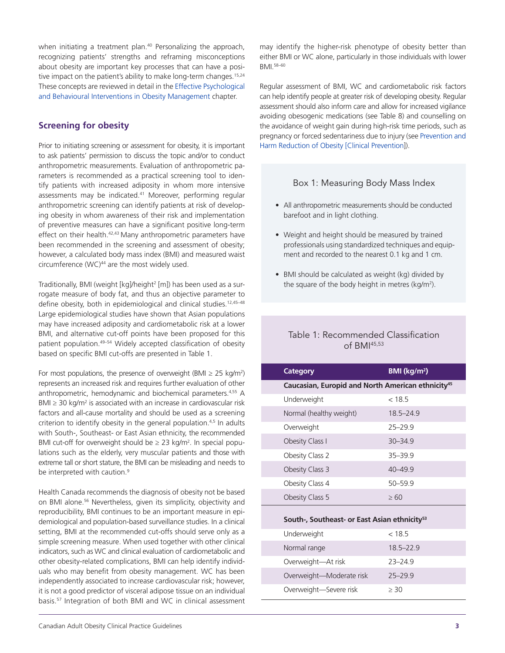when initiating a treatment plan.<sup>40</sup> Personalizing the approach, recognizing patients' strengths and reframing misconceptions about obesity are important key processes that can have a positive impact on the patient's ability to make long-term changes.<sup>15,24</sup> These concepts are reviewed in detail in the Effective [Psychological](https://obesitycanada.ca/guidelines/behavioural/) and Behavioural Interventions in Obesity [Management](https://obesitycanada.ca/guidelines/behavioural/) chapter.

# **Screening for obesity**

Prior to initiating screening or assessment for obesity, it is important to ask patients' permission to discuss the topic and/or to conduct anthropometric measurements. Evaluation of anthropometric parameters is recommended as a practical screening tool to identify patients with increased adiposity in whom more intensive assessments may be indicated.<sup>41</sup> Moreover, performing regular anthropometric screening can identify patients at risk of developing obesity in whom awareness of their risk and implementation of preventive measures can have a significant positive long-term effect on their health.<sup>42,43</sup> Many anthropometric parameters have been recommended in the screening and assessment of obesity; however, a calculated body mass index (BMI) and measured waist circumference  $(WC)^{44}$  are the most widely used.

Traditionally, BMI (weight [kg]/height<sup>2</sup> [m]) has been used as a surrogate measure of body fat, and thus an objective parameter to define obesity, both in epidemiological and clinical studies.<sup>12,45-48</sup> Large epidemiological studies have shown that Asian populations may have increased adiposity and cardiometabolic risk at a lower BMI, and alternative cut-off points have been proposed for this patient population.49–54 Widely accepted classification of obesity based on specific BMI cut-offs are presented in Table 1.

For most populations, the presence of overweight (BMI  $\geq$  25 kg/m<sup>2</sup>) represents an increased risk and requires further evaluation of other anthropometric, hemodynamic and biochemical parameters.4,55 A BMI  $\geq$  30 kg/m<sup>2</sup> is associated with an increase in cardiovascular risk factors and all-cause mortality and should be used as a screening criterion to identify obesity in the general population.<sup>4,5</sup> In adults with South-, Southeast- or East Asian ethnicity, the recommended BMI cut-off for overweight should be  $\geq 23$  kg/m<sup>2</sup>. In special populations such as the elderly, very muscular patients and those with extreme tall or short stature, the BMI can be misleading and needs to be interpreted with caution.<sup>9</sup>

Health Canada recommends the diagnosis of obesity not be based on BMI alone.<sup>56</sup> Nevertheless, given its simplicity, objectivity and reproducibility, BMI continues to be an important measure in epidemiological and population-based surveillance studies. In a clinical setting, BMI at the recommended cut-offs should serve only as a simple screening measure. When used together with other clinical indicators, such as WC and clinical evaluation of cardiometabolic and other obesity-related complications, BMI can help identify individuals who may benefit from obesity management. WC has been independently associated to increase cardiovascular risk; however, it is not a good predictor of visceral adipose tissue on an individual basis.57 Integration of both BMI and WC in clinical assessment

may identify the higher-risk phenotype of obesity better than either BMI or WC alone, particularly in those individuals with lower BMI.58–60

Regular assessment of BMI, WC and cardiometabolic risk factors can help identify people at greater risk of developing obesity. Regular assessment should also inform care and allow for increased vigilance avoiding obesogenic medications (see Table 8) and counselling on the avoidance of weight gain during high-risk time periods, such as pregnancy or forced sedentariness due to injury (see [Prevention](https://obesitycanada.ca/guidelines/prevention/) and Harm Reduction of Obesity [Clinical [Prevention\]](https://obesitycanada.ca/guidelines/prevention/)).

#### Box 1: Measuring Body Mass Index

- All anthropometric measurements should be conducted barefoot and in light clothing.
- Weight and height should be measured by trained professionals using standardized techniques and equipment and recorded to the nearest 0.1 kg and 1 cm.
- BMI should be calculated as weight (kg) divided by the square of the body height in metres (kg/m<sup>2</sup>).

# Table 1: Recommended Classification of BMI45,53

| <b>Category</b>                                               | BMI (kg/m <sup>2</sup> ) |
|---------------------------------------------------------------|--------------------------|
| Caucasian, Europid and North American ethnicity <sup>45</sup> |                          |
| Underweight                                                   | < 18.5                   |
| Normal (healthy weight)                                       | 185-249                  |
| Overweight                                                    | $25 - 299$               |
| Obesity Class I                                               | $30 - 349$               |
| Obesity Class 2                                               | $35 - 39.9$              |
| Obesity Class 3                                               | $40 - 49.9$              |
| Obesity Class 4                                               | $50 - 59.9$              |
| Obesity Class 5                                               | $\geq 60$                |
| South-, Southeast- or East Asian ethnicity <sup>53</sup>      |                          |
| Underweight                                                   | $<$ 18.5                 |
| Normal range                                                  | $18.5 - 22.9$            |
| Overweight-At risk                                            | $73 - 749$               |
| Overweight-Moderate risk                                      | $25 - 29.9$              |
| Overweight-Severe risk                                        | > 30                     |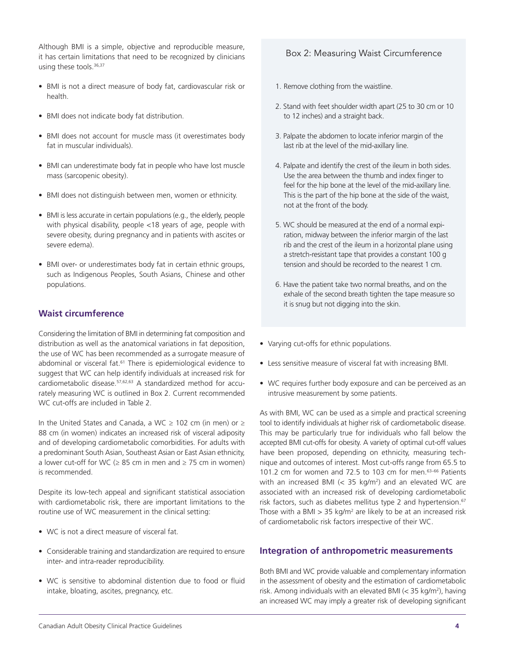Although BMI is a simple, objective and reproducible measure, it has certain limitations that need to be recognized by clinicians using these tools.<sup>36,37</sup>

- BMI is not a direct measure of body fat, cardiovascular risk or health.
- BMI does not indicate body fat distribution.
- BMI does not account for muscle mass (it overestimates body fat in muscular individuals).
- BMI can underestimate body fat in people who have lost muscle mass (sarcopenic obesity).
- BMI does not distinguish between men, women or ethnicity.
- BMI is less accurate in certain populations (e.g., the elderly, people with physical disability, people <18 years of age, people with severe obesity, during pregnancy and in patients with ascites or severe edema).
- BMI over- or underestimates body fat in certain ethnic groups, such as Indigenous Peoples, South Asians, Chinese and other populations.

# **Waist circumference**

Considering the limitation of BMI in determining fat composition and distribution as well as the anatomical variations in fat deposition, the use of WC has been recommended as a surrogate measure of abdominal or visceral fat.<sup>61</sup> There is epidemiological evidence to suggest that WC can help identify individuals at increased risk for cardiometabolic disease.57,62,63 A standardized method for accurately measuring WC is outlined in Box 2. Current recommended WC cut-offs are included in Table 2.

In the United States and Canada, a WC ≥ 102 cm (in men) or ≥ 88 cm (in women) indicates an increased risk of visceral adiposity and of developing cardiometabolic comorbidities. For adults with a predominant South Asian, Southeast Asian or East Asian ethnicity, a lower cut-off for WC ( $\geq$  85 cm in men and  $\geq$  75 cm in women) is recommended.

Despite its low-tech appeal and significant statistical association with cardiometabolic risk, there are important limitations to the routine use of WC measurement in the clinical setting:

- WC is not a direct measure of visceral fat.
- Considerable training and standardization are required to ensure inter- and intra-reader reproducibility.
- WC is sensitive to abdominal distention due to food or fluid intake, bloating, ascites, pregnancy, etc.

# Box 2: Measuring Waist Circumference

- 1. Remove clothing from the waistline.
- 2. Stand with feet shoulder width apart (25 to 30 cm or 10 to 12 inches) and a straight back.
- 3. Palpate the abdomen to locate inferior margin of the last rib at the level of the mid-axillary line.
- 4. Palpate and identify the crest of the ileum in both sides. Use the area between the thumb and index finger to feel for the hip bone at the level of the mid-axillary line. This is the part of the hip bone at the side of the waist, not at the front of the body.
- 5. WC should be measured at the end of a normal expiration, midway between the inferior margin of the last rib and the crest of the ileum in a horizontal plane using a stretch-resistant tape that provides a constant 100 g tension and should be recorded to the nearest 1 cm.
- 6. Have the patient take two normal breaths, and on the exhale of the second breath tighten the tape measure so it is snug but not digging into the skin.
- Varying cut-offs for ethnic populations.
- Less sensitive measure of visceral fat with increasing BMI.
- WC requires further body exposure and can be perceived as an intrusive measurement by some patients.

As with BMI, WC can be used as a simple and practical screening tool to identify individuals at higher risk of cardiometabolic disease. This may be particularly true for individuals who fall below the accepted BMI cut-offs for obesity. A variety of optimal cut-off values have been proposed, depending on ethnicity, measuring technique and outcomes of interest. Most cut-offs range from 65.5 to 101.2 cm for women and 72.5 to 103 cm for men.63–66 Patients with an increased BMI (< 35 kg/m2 ) and an elevated WC are associated with an increased risk of developing cardiometabolic risk factors, such as diabetes mellitus type 2 and hypertension.<sup>67</sup> Those with a BMI  $> 35$  kg/m<sup>2</sup> are likely to be at an increased risk of cardiometabolic risk factors irrespective of their WC.

# **Integration of anthropometric measurements**

Both BMI and WC provide valuable and complementary information in the assessment of obesity and the estimation of cardiometabolic risk. Among individuals with an elevated BMI (< 35 kg/m<sup>2</sup>), having an increased WC may imply a greater risk of developing significant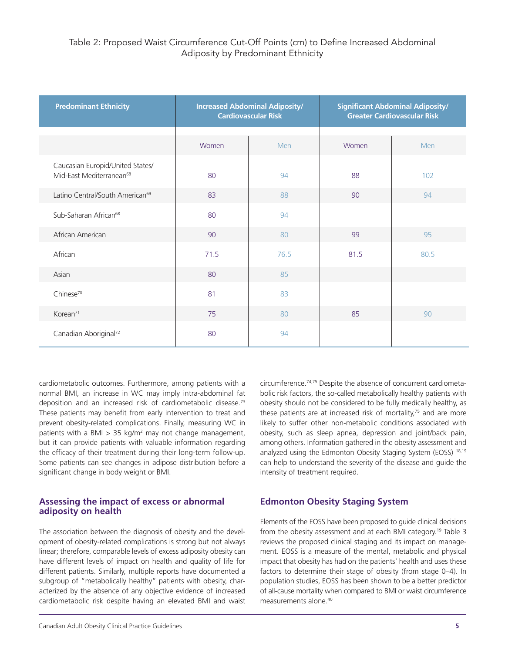| <b>Predominant Ethnicity</b>                                             | <b>Increased Abdominal Adiposity/</b><br><b>Cardiovascular Risk</b> |      | <b>Significant Abdominal Adiposity/</b><br><b>Greater Cardiovascular Risk</b> |      |
|--------------------------------------------------------------------------|---------------------------------------------------------------------|------|-------------------------------------------------------------------------------|------|
|                                                                          | Women                                                               | Men  | Women                                                                         | Men  |
| Caucasian Europid/United States/<br>Mid-East Mediterranean <sup>68</sup> | 80                                                                  | 94   | 88                                                                            | 102  |
| Latino Central/South American <sup>69</sup>                              | 83                                                                  | 88   | 90                                                                            | 94   |
| Sub-Saharan African <sup>68</sup>                                        | 80                                                                  | 94   |                                                                               |      |
| African American                                                         | 90                                                                  | 80   | 99                                                                            | 95   |
| African                                                                  | 71.5                                                                | 76.5 | 81.5                                                                          | 80.5 |
| Asian                                                                    | 80                                                                  | 85   |                                                                               |      |
| Chinese <sup>70</sup>                                                    | 81                                                                  | 83   |                                                                               |      |
| Korean <sup>71</sup>                                                     | 75                                                                  | 80   | 85                                                                            | 90   |
| Canadian Aboriginal <sup>72</sup>                                        | 80                                                                  | 94   |                                                                               |      |

cardiometabolic outcomes. Furthermore, among patients with a normal BMI, an increase in WC may imply intra-abdominal fat deposition and an increased risk of cardiometabolic disease.73 These patients may benefit from early intervention to treat and prevent obesity-related complications. Finally, measuring WC in patients with a BMI  $> 35$  kg/m<sup>2</sup> may not change management, but it can provide patients with valuable information regarding the efficacy of their treatment during their long-term follow-up. Some patients can see changes in adipose distribution before a significant change in body weight or BMI.

# **Assessing the impact of excess or abnormal adiposity on health**

The association between the diagnosis of obesity and the development of obesity-related complications is strong but not always linear; therefore, comparable levels of excess adiposity obesity can have different levels of impact on health and quality of life for different patients. Similarly, multiple reports have documented a subgroup of "metabolically healthy" patients with obesity, characterized by the absence of any objective evidence of increased cardiometabolic risk despite having an elevated BMI and waist

circumference.74,75 Despite the absence of concurrent cardiometabolic risk factors, the so-called metabolically healthy patients with obesity should not be considered to be fully medically healthy, as these patients are at increased risk of mortality, $75$  and are more likely to suffer other non-metabolic conditions associated with obesity, such as sleep apnea, depression and joint/back pain, among others. Information gathered in the obesity assessment and analyzed using the Edmonton Obesity Staging System (EOSS) 18,19 can help to understand the severity of the disease and guide the intensity of treatment required.

# **Edmonton Obesity Staging System**

Elements of the EOSS have been proposed to guide clinical decisions from the obesity assessment and at each BMI category.<sup>19</sup> Table 3 reviews the proposed clinical staging and its impact on management. EOSS is a measure of the mental, metabolic and physical impact that obesity has had on the patients' health and uses these factors to determine their stage of obesity (from stage 0–4). In population studies, EOSS has been shown to be a better predictor of all-cause mortality when compared to BMI or waist circumference measurements alone.40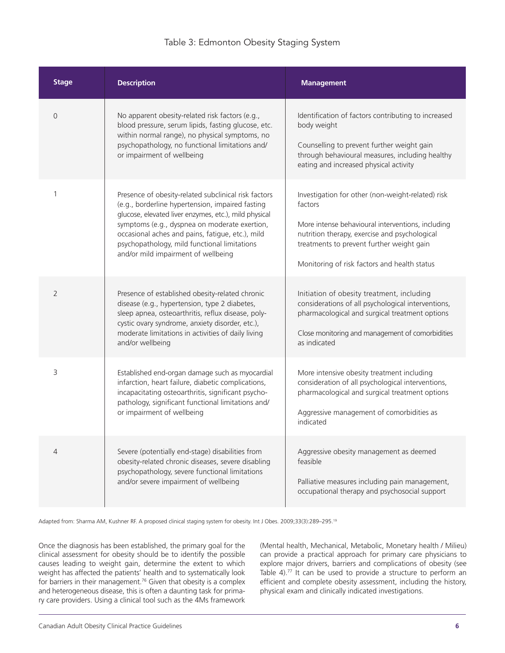# Table 3: Edmonton Obesity Staging System

| <b>Stage</b>   | <b>Description</b>                                                                                                                                                                                                                                                                                                                                            | <b>Management</b>                                                                                                                                                                                                                                               |
|----------------|---------------------------------------------------------------------------------------------------------------------------------------------------------------------------------------------------------------------------------------------------------------------------------------------------------------------------------------------------------------|-----------------------------------------------------------------------------------------------------------------------------------------------------------------------------------------------------------------------------------------------------------------|
| $\overline{0}$ | No apparent obesity-related risk factors (e.g.,<br>blood pressure, serum lipids, fasting glucose, etc.<br>within normal range), no physical symptoms, no<br>psychopathology, no functional limitations and/<br>or impairment of wellbeing                                                                                                                     | Identification of factors contributing to increased<br>body weight<br>Counselling to prevent further weight gain<br>through behavioural measures, including healthy<br>eating and increased physical activity                                                   |
| 1              | Presence of obesity-related subclinical risk factors<br>(e.g., borderline hypertension, impaired fasting<br>glucose, elevated liver enzymes, etc.), mild physical<br>symptoms (e.g., dyspnea on moderate exertion,<br>occasional aches and pains, fatigue, etc.), mild<br>psychopathology, mild functional limitations<br>and/or mild impairment of wellbeing | Investigation for other (non-weight-related) risk<br>factors<br>More intense behavioural interventions, including<br>nutrition therapy, exercise and psychological<br>treatments to prevent further weight gain<br>Monitoring of risk factors and health status |
| 2              | Presence of established obesity-related chronic<br>disease (e.g., hypertension, type 2 diabetes,<br>sleep apnea, osteoarthritis, reflux disease, poly-<br>cystic ovary syndrome, anxiety disorder, etc.),<br>moderate limitations in activities of daily living<br>and/or wellbeing                                                                           | Initiation of obesity treatment, including<br>considerations of all psychological interventions,<br>pharmacological and surgical treatment options<br>Close monitoring and management of comorbidities<br>as indicated                                          |
| 3              | Established end-organ damage such as myocardial<br>infarction, heart failure, diabetic complications,<br>incapacitating osteoarthritis, significant psycho-<br>pathology, significant functional limitations and/<br>or impairment of wellbeing                                                                                                               | More intensive obesity treatment including<br>consideration of all psychological interventions,<br>pharmacological and surgical treatment options<br>Aggressive management of comorbidities as<br>indicated                                                     |
| 4              | Severe (potentially end-stage) disabilities from<br>obesity-related chronic diseases, severe disabling<br>psychopathology, severe functional limitations<br>and/or severe impairment of wellbeing                                                                                                                                                             | Aggressive obesity management as deemed<br>feasible<br>Palliative measures including pain management,<br>occupational therapy and psychosocial support                                                                                                          |

Adapted from: Sharma AM, Kushner RF. A proposed clinical staging system for obesity. Int J Obes. 2009;33(3):289-295.<sup>19</sup>

Once the diagnosis has been established, the primary goal for the clinical assessment for obesity should be to identify the possible causes leading to weight gain, determine the extent to which weight has affected the patients' health and to systematically look for barriers in their management.<sup>76</sup> Given that obesity is a complex and heterogeneous disease, this is often a daunting task for primary care providers. Using a clinical tool such as the 4Ms framework

(Mental health, Mechanical, Metabolic, Monetary health / Milieu) can provide a practical approach for primary care physicians to explore major drivers, barriers and complications of obesity (see Table 4).<sup>77</sup> It can be used to provide a structure to perform an efficient and complete obesity assessment, including the history, physical exam and clinically indicated investigations.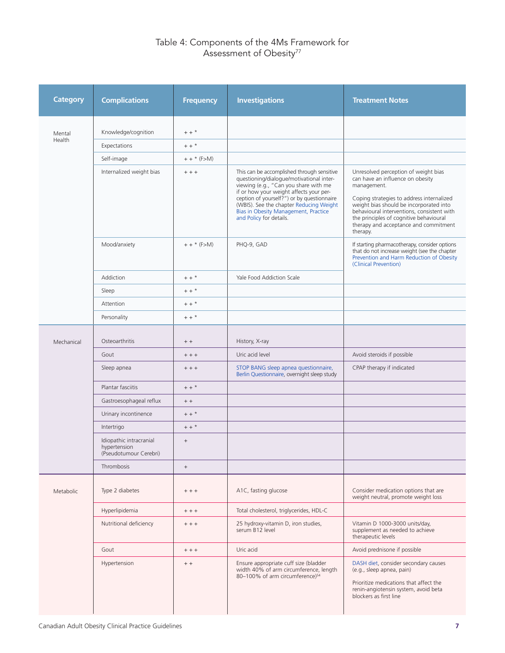# Table 4: Components of the 4Ms Framework for Assessment of Obesity<sup>77</sup>

| <b>Category</b> | <b>Complications</b>                                              | <b>Frequency</b>                 | <b>Investigations</b>                                                                                                                                                                                                                                                                                                                  | <b>Treatment Notes</b>                                                                                                                                                                                                                                                                                                        |
|-----------------|-------------------------------------------------------------------|----------------------------------|----------------------------------------------------------------------------------------------------------------------------------------------------------------------------------------------------------------------------------------------------------------------------------------------------------------------------------------|-------------------------------------------------------------------------------------------------------------------------------------------------------------------------------------------------------------------------------------------------------------------------------------------------------------------------------|
| Mental          | Knowledge/cognition                                               | $++$ *                           |                                                                                                                                                                                                                                                                                                                                        |                                                                                                                                                                                                                                                                                                                               |
| Health          | Expectations                                                      | $+ +$ *                          |                                                                                                                                                                                                                                                                                                                                        |                                                                                                                                                                                                                                                                                                                               |
|                 | Self-image                                                        | $++$ * (F>M)                     |                                                                                                                                                                                                                                                                                                                                        |                                                                                                                                                                                                                                                                                                                               |
|                 | Internalized weight bias                                          | $++$                             | This can be accomplished through sensitive<br>questioning/dialogue/motivational inter-<br>viewing (e.g., "Can you share with me<br>if or how your weight affects your per-<br>ception of yourself?") or by questionnaire<br>(WBIS). See the chapter Reducing Weight<br>Bias in Obesity Management, Practice<br>and Policy for details. | Unresolved perception of weight bias<br>can have an influence on obesity<br>management.<br>Coping strategies to address internalized<br>weight bias should be incorporated into<br>behavioural interventions, consistent with<br>the principles of cognitive behavioural<br>therapy and acceptance and commitment<br>therapy. |
|                 | Mood/anxiety                                                      | $++$ * (F>M)                     | PHQ-9, GAD                                                                                                                                                                                                                                                                                                                             | If starting pharmacotherapy, consider options<br>that do not increase weight (see the chapter<br>Prevention and Harm Reduction of Obesity<br>(Clinical Prevention)                                                                                                                                                            |
|                 | Addiction                                                         | $++$ *                           | Yale Food Addiction Scale                                                                                                                                                                                                                                                                                                              |                                                                                                                                                                                                                                                                                                                               |
|                 | Sleep                                                             | $++$ *                           |                                                                                                                                                                                                                                                                                                                                        |                                                                                                                                                                                                                                                                                                                               |
|                 | Attention                                                         | $+ +$ *                          |                                                                                                                                                                                                                                                                                                                                        |                                                                                                                                                                                                                                                                                                                               |
|                 | Personality                                                       | $+ +$ *                          |                                                                                                                                                                                                                                                                                                                                        |                                                                                                                                                                                                                                                                                                                               |
| Mechanical      | Osteoarthritis<br>Gout<br>Sleep apnea                             | $+ +$<br>$+ + +$<br>$++$         | History, X-ray<br>Uric acid level<br>STOP BANG sleep apnea questionnaire,                                                                                                                                                                                                                                                              | Avoid steroids if possible<br>CPAP therapy if indicated                                                                                                                                                                                                                                                                       |
|                 |                                                                   |                                  | Berlin Questionnaire, overnight sleep study                                                                                                                                                                                                                                                                                            |                                                                                                                                                                                                                                                                                                                               |
|                 | Plantar fasciitis                                                 | $+ +$ *                          |                                                                                                                                                                                                                                                                                                                                        |                                                                                                                                                                                                                                                                                                                               |
|                 | Gastroesophageal reflux                                           | $+ +$                            |                                                                                                                                                                                                                                                                                                                                        |                                                                                                                                                                                                                                                                                                                               |
|                 | Urinary incontinence                                              | $+ +$ *                          |                                                                                                                                                                                                                                                                                                                                        |                                                                                                                                                                                                                                                                                                                               |
|                 | Intertrigo                                                        | $+ +$ *                          |                                                                                                                                                                                                                                                                                                                                        |                                                                                                                                                                                                                                                                                                                               |
|                 | Idiopathic intracranial<br>hypertension<br>(Pseudotumour Cerebri) | $\begin{array}{c} + \end{array}$ |                                                                                                                                                                                                                                                                                                                                        |                                                                                                                                                                                                                                                                                                                               |
|                 | Thrombosis                                                        | $\qquad \qquad +$                |                                                                                                                                                                                                                                                                                                                                        |                                                                                                                                                                                                                                                                                                                               |
| Metabolic       | Type 2 diabetes                                                   | $++ +$                           | A1C, fasting glucose                                                                                                                                                                                                                                                                                                                   | Consider medication options that are<br>weight neutral, promote weight loss                                                                                                                                                                                                                                                   |
|                 | Hyperlipidemia                                                    | $+ + +$                          | Total cholesterol, triglycerides, HDL-C                                                                                                                                                                                                                                                                                                |                                                                                                                                                                                                                                                                                                                               |
|                 | Nutritional deficiency                                            | $++ +$                           | 25 hydroxy-vitamin D, iron studies,<br>serum B12 level                                                                                                                                                                                                                                                                                 | Vitamin D 1000-3000 units/day,<br>supplement as needed to achieve<br>therapeutic levels                                                                                                                                                                                                                                       |
|                 | Gout                                                              | $++$                             | Uric acid                                                                                                                                                                                                                                                                                                                              | Avoid prednisone if possible                                                                                                                                                                                                                                                                                                  |
|                 | Hypertension                                                      | $+ +$                            | Ensure appropriate cuff size (bladder<br>width 40% of arm circumference, length<br>80-100% of arm circumference) <sup>54</sup>                                                                                                                                                                                                         | DASH diet, consider secondary causes<br>(e.g., sleep apnea, pain)<br>Prioritize medications that affect the<br>renin-angiotensin system, avoid beta<br>blockers as first line                                                                                                                                                 |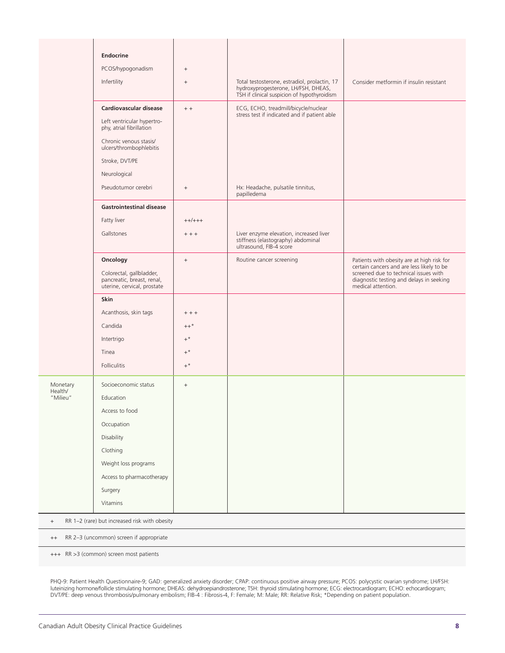|                                                                   | Endocrine                                                                             |                 |                                                                                                                                    |                                                                                                                                                      |
|-------------------------------------------------------------------|---------------------------------------------------------------------------------------|-----------------|------------------------------------------------------------------------------------------------------------------------------------|------------------------------------------------------------------------------------------------------------------------------------------------------|
|                                                                   | PCOS/hypogonadism                                                                     | $\! + \!\!\!\!$ |                                                                                                                                    |                                                                                                                                                      |
|                                                                   | Infertility                                                                           | $^+$            | Total testosterone, estradiol, prolactin, 17<br>hydroxyprogesterone, LH/FSH, DHEAS,<br>TSH if clinical suspicion of hypothyroidism | Consider metformin if insulin resistant                                                                                                              |
|                                                                   | Cardiovascular disease                                                                | $+ +$           | ECG, ECHO, treadmill/bicycle/nuclear<br>stress test if indicated and if patient able                                               |                                                                                                                                                      |
|                                                                   | Left ventricular hypertro-<br>phy, atrial fibrillation                                |                 |                                                                                                                                    |                                                                                                                                                      |
|                                                                   | Chronic venous stasis/<br>ulcers/thrombophlebitis                                     |                 |                                                                                                                                    |                                                                                                                                                      |
|                                                                   | Stroke, DVT/PE                                                                        |                 |                                                                                                                                    |                                                                                                                                                      |
|                                                                   | Neurological                                                                          |                 |                                                                                                                                    |                                                                                                                                                      |
|                                                                   | Pseudotumor cerebri                                                                   | $\! + \!\!\!\!$ | Hx: Headache, pulsatile tinnitus,<br>papilledema                                                                                   |                                                                                                                                                      |
|                                                                   | <b>Gastrointestinal disease</b>                                                       |                 |                                                                                                                                    |                                                                                                                                                      |
|                                                                   | Fatty liver                                                                           | $++/++$         |                                                                                                                                    |                                                                                                                                                      |
|                                                                   | Gallstones                                                                            | $++$            | Liver enzyme elevation, increased liver<br>stiffness (elastography) abdominal<br>ultrasound, FIB-4 score                           |                                                                                                                                                      |
|                                                                   | Oncology                                                                              | $^+$            | Routine cancer screening                                                                                                           | Patients with obesity are at high risk for                                                                                                           |
|                                                                   | Colorectal, gallbladder,<br>pancreatic, breast, renal,<br>uterine, cervical, prostate |                 |                                                                                                                                    | certain cancers and are less likely to be<br>screened due to technical issues with<br>diagnostic testing and delays in seeking<br>medical attention. |
|                                                                   | Skin                                                                                  |                 |                                                                                                                                    |                                                                                                                                                      |
|                                                                   | Acanthosis, skin tags                                                                 | $+ + +$         |                                                                                                                                    |                                                                                                                                                      |
|                                                                   | Candida                                                                               | $++$ *          |                                                                                                                                    |                                                                                                                                                      |
|                                                                   | Intertrigo                                                                            | $+^{\,\star}$   |                                                                                                                                    |                                                                                                                                                      |
|                                                                   | Tinea                                                                                 | $+^*$           |                                                                                                                                    |                                                                                                                                                      |
|                                                                   | <b>Folliculitis</b>                                                                   | $+^*$           |                                                                                                                                    |                                                                                                                                                      |
| Monetary<br>Health/                                               | Socioeconomic status                                                                  | $\! + \!\!\!\!$ |                                                                                                                                    |                                                                                                                                                      |
| "Milieu"                                                          | Education                                                                             |                 |                                                                                                                                    |                                                                                                                                                      |
|                                                                   | Access to food                                                                        |                 |                                                                                                                                    |                                                                                                                                                      |
|                                                                   | Occupation                                                                            |                 |                                                                                                                                    |                                                                                                                                                      |
|                                                                   | Disability                                                                            |                 |                                                                                                                                    |                                                                                                                                                      |
|                                                                   | Clothing                                                                              |                 |                                                                                                                                    |                                                                                                                                                      |
|                                                                   | Weight loss programs                                                                  |                 |                                                                                                                                    |                                                                                                                                                      |
|                                                                   | Access to pharmacotherapy                                                             |                 |                                                                                                                                    |                                                                                                                                                      |
|                                                                   | Surgery                                                                               |                 |                                                                                                                                    |                                                                                                                                                      |
|                                                                   | Vitamins                                                                              |                 |                                                                                                                                    |                                                                                                                                                      |
| RR 1-2 (rare) but increased risk with obesity<br>$\boldsymbol{+}$ |                                                                                       |                 |                                                                                                                                    |                                                                                                                                                      |
| RR 2-3 (uncommon) screen if appropriate<br>$^{++}$                |                                                                                       |                 |                                                                                                                                    |                                                                                                                                                      |

+++ RR >3 (common) screen most patients

PHQ-9: Patient Health Questionnaire-9; GAD: generalized anxiety disorder; CPAP: continuous positive airway pressure; PCOS: polycystic ovarian syndrome; LH/FSH: luteinizing hormone/follicle stimulating hormone; DHEAS: dehydroepiandrosterone; TSH: thyroid stimulating hormone; ECG: electrocardiogram; ECHO: echocardiogram; DVT/PE: deep venous thrombosis/pulmonary embolism; FIB-4 : Fibrosis-4, F: Female; M: Male; RR: Relative Risk; \*Depending on patient population.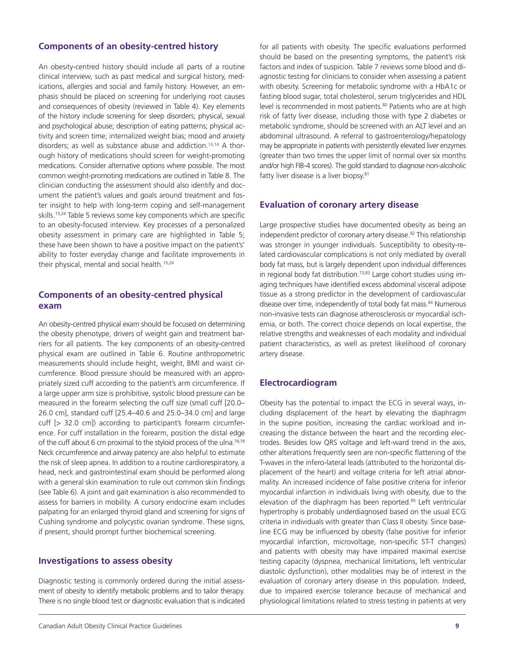# **Components of an obesity-centred history**

An obesity-centred history should include all parts of a routine clinical interview, such as past medical and surgical history, medications, allergies and social and family history. However, an emphasis should be placed on screening for underlying root causes and consequences of obesity (reviewed in Table 4). Key elements of the history include screening for sleep disorders; physical, sexual and psychological abuse; description of eating patterns; physical activity and screen time; internalized weight bias; mood and anxiety disorders; as well as substance abuse and addiction.13,14 A thorough history of medications should screen for weight-promoting medications. Consider alternative options where possible. The most common weight-promoting medications are outlined in Table 8. The clinician conducting the assessment should also identify and document the patient's values and goals around treatment and foster insight to help with long-term coping and self-management skills.15,24 Table 5 reviews some key components which are specific to an obesity-focused interview. Key processes of a personalized obesity assessment in primary care are highlighted in Table 5; these have been shown to have a positive impact on the patient's' ability to foster everyday change and facilitate improvements in their physical, mental and social health.<sup>15,24</sup>

# **Components of an obesity-centred physical exam**

An obesity-centred physical exam should be focused on determining the obesity phenotype, drivers of weight gain and treatment barriers for all patients. The key components of an obesity-centred physical exam are outlined in Table 6. Routine anthropometric measurements should include height, weight, BMI and waist circumference. Blood pressure should be measured with an appropriately sized cuff according to the patient's arm circumference. If a large upper arm size is prohibitive, systolic blood pressure can be measured in the forearm selecting the cuff size (small cuff [20.0– 26.0 cm], standard cuff [25.4–40.6 and 25.0–34.0 cm] and large cuff [> 32.0 cm]) according to participant's forearm circumference. For cuff installation in the forearm, position the distal edge of the cuff about 6 cm proximal to the styloid process of the ulna.78,79 Neck circumference and airway patency are also helpful to estimate the risk of sleep apnea. In addition to a routine cardiorespiratory, a head, neck and gastrointestinal exam should be performed along with a general skin examination to rule out common skin findings (see Table 6). A joint and gait examination is also recommended to assess for barriers in mobility. A cursory endocrine exam includes palpating for an enlarged thyroid gland and screening for signs of Cushing syndrome and polycystic ovarian syndrome. These signs, if present, should prompt further biochemical screening.

# **Investigations to assess obesity**

Diagnostic testing is commonly ordered during the initial assessment of obesity to identify metabolic problems and to tailor therapy. There is no single blood test or diagnostic evaluation that is indicated for all patients with obesity. The specific evaluations performed should be based on the presenting symptoms, the patient's risk factors and index of suspicion. Table 7 reviews some blood and diagnostic testing for clinicians to consider when assessing a patient with obesity. Screening for metabolic syndrome with a HbA1c or fasting blood sugar, total cholesterol, serum triglycerides and HDL level is recommended in most patients.<sup>80</sup> Patients who are at high risk of fatty liver disease, including those with type 2 diabetes or metabolic syndrome, should be screened with an ALT level and an abdominal ultrasound. A referral to gastroenterology/hepatology may be appropriate in patients with persistently elevated liver enzymes (greater than two times the upper limit of normal over six months and/or high FIB-4 scores). The gold standard to diagnose non-alcoholic fatty liver disease is a liver biopsy.<sup>81</sup>

#### **Evaluation of coronary artery disease**

Large prospective studies have documented obesity as being an independent predictor of coronary artery disease.<sup>82</sup> This relationship was stronger in younger individuals. Susceptibility to obesity-related cardiovascular complications is not only mediated by overall body fat mass, but is largely dependent upon individual differences in regional body fat distribution.<sup>73,83</sup> Large cohort studies using imaging techniques have identified excess abdominal visceral adipose tissue as a strong predictor in the development of cardiovascular disease over time, independently of total body fat mass.<sup>84</sup> Numerous non-invasive tests can diagnose atherosclerosis or myocardial ischemia, or both. The correct choice depends on local expertise, the relative strengths and weaknesses of each modality and individual patient characteristics, as well as pretest likelihood of coronary artery disease.

#### **Electrocardiogram**

Obesity has the potential to impact the ECG in several ways, including displacement of the heart by elevating the diaphragm in the supine position, increasing the cardiac workload and increasing the distance between the heart and the recording electrodes. Besides low QRS voltage and left-ward trend in the axis, other alterations frequently seen are non-specific flattening of the T-waves in the infero-lateral leads (attributed to the horizontal displacement of the heart) and voltage criteria for left atrial abnormality. An increased incidence of false positive criteria for inferior myocardial infarction in individuals living with obesity, due to the elevation of the diaphragm has been reported.<sup>85</sup> Left ventricular hypertrophy is probably underdiagnosed based on the usual ECG criteria in individuals with greater than Class II obesity. Since baseline ECG may be influenced by obesity (false positive for inferior myocardial infarction, microvoltage, non-specific ST-T changes) and patients with obesity may have impaired maximal exercise testing capacity (dyspnea, mechanical limitations, left ventricular diastolic dysfunction), other modalities may be of interest in the evaluation of coronary artery disease in this population. Indeed, due to impaired exercise tolerance because of mechanical and physiological limitations related to stress testing in patients at very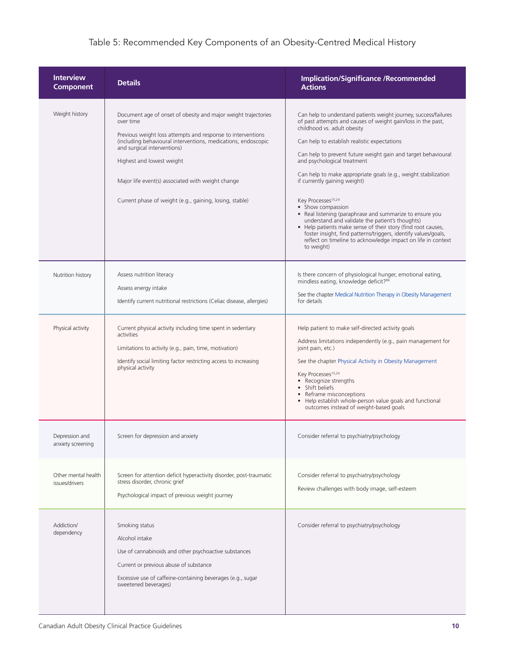# Table 5: Recommended Key Components of an Obesity-Centred Medical History

| <b>Interview</b><br><b>Component</b>  | <b>Details</b>                                                                                                                                                                                                                                                                                                                                                                          | <b>Implication/Significance /Recommended</b><br><b>Actions</b>                                                                                                                                                                                                                                                                                                                                                                                                                                                                                                                                                                                                                                                                                                                                          |
|---------------------------------------|-----------------------------------------------------------------------------------------------------------------------------------------------------------------------------------------------------------------------------------------------------------------------------------------------------------------------------------------------------------------------------------------|---------------------------------------------------------------------------------------------------------------------------------------------------------------------------------------------------------------------------------------------------------------------------------------------------------------------------------------------------------------------------------------------------------------------------------------------------------------------------------------------------------------------------------------------------------------------------------------------------------------------------------------------------------------------------------------------------------------------------------------------------------------------------------------------------------|
| Weight history                        | Document age of onset of obesity and major weight trajectories<br>over time<br>Previous weight loss attempts and response to interventions<br>(including behavioural interventions, medications, endoscopic<br>and surgical interventions)<br>Highest and lowest weight<br>Major life event(s) associated with weight change<br>Current phase of weight (e.g., gaining, losing, stable) | Can help to understand patients weight journey, success/failures<br>of past attempts and causes of weight gain/loss in the past,<br>childhood vs. adult obesity<br>Can help to establish realistic expectations<br>Can help to prevent future weight gain and target behavioural<br>and psychological treatment<br>Can help to make appropriate goals (e.g., weight stabilization<br>if currently gaining weight)<br>Key Processes <sup>15,24</sup><br>• Show compassion<br>• Real listening (paraphrase and summarize to ensure you<br>understand and validate the patient's thoughts)<br>• Help patients make sense of their story (find root causes,<br>foster insight, find patterns/triggers, identify values/goals,<br>reflect on timeline to acknowledge impact on life in context<br>to weight) |
| Nutrition history                     | Assess nutrition literacy<br>Assess energy intake<br>Identify current nutritional restrictions (Celiac disease, allergies)                                                                                                                                                                                                                                                              | Is there concern of physiological hunger, emotional eating,<br>mindless eating, knowledge deficit? <sup>86</sup><br>See the chapter Medical Nutrition Therapy in Obesity Management<br>for details                                                                                                                                                                                                                                                                                                                                                                                                                                                                                                                                                                                                      |
| Physical activity                     | Current physical activity including time spent in sedentary<br>activities<br>Limitations to activity (e.g., pain, time, motivation)<br>Identify social limiting factor restricting access to increasing<br>physical activity                                                                                                                                                            | Help patient to make self-directed activity goals<br>Address limitations independently (e.g., pain management for<br>joint pain, etc.)<br>See the chapter Physical Activity in Obesity Management<br>Key Processes <sup>15,24</sup><br>• Recognize strengths<br>• Shift beliefs<br>• Reframe misconceptions<br>• Help establish whole-person value goals and functional<br>outcomes instead of weight-based goals                                                                                                                                                                                                                                                                                                                                                                                       |
| Depression and<br>anxiety screening   | Screen for depression and anxiety                                                                                                                                                                                                                                                                                                                                                       | Consider referral to psychiatry/psychology                                                                                                                                                                                                                                                                                                                                                                                                                                                                                                                                                                                                                                                                                                                                                              |
| Other mental health<br>issues/drivers | Screen for attention deficit hyperactivity disorder, post-traumatic<br>stress disorder, chronic grief<br>Psychological impact of previous weight journey                                                                                                                                                                                                                                | Consider referral to psychiatry/psychology<br>Review challenges with body image, self-esteem                                                                                                                                                                                                                                                                                                                                                                                                                                                                                                                                                                                                                                                                                                            |
| Addiction/<br>dependency              | Smoking status<br>Alcohol intake<br>Use of cannabinoids and other psychoactive substances<br>Current or previous abuse of substance<br>Excessive use of caffeine-containing beverages (e.g., sugar<br>sweetened beverages)                                                                                                                                                              | Consider referral to psychiatry/psychology                                                                                                                                                                                                                                                                                                                                                                                                                                                                                                                                                                                                                                                                                                                                                              |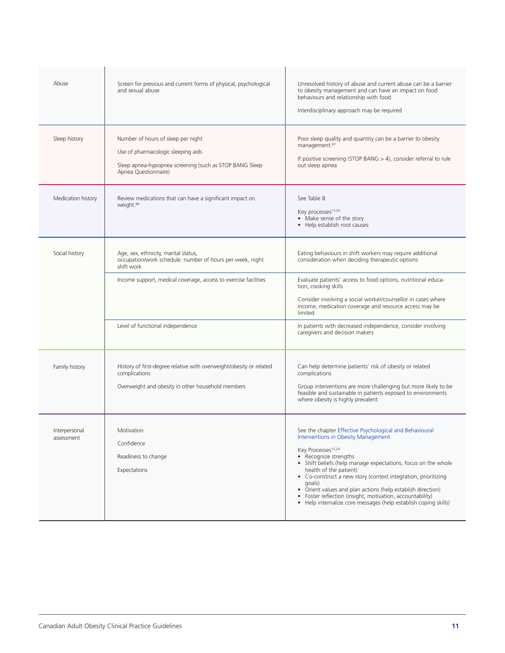| Abuse                       | Screen for previous and current forms of physical, psychological<br>and sexual abuse                                                                                                                                   | Unresolved history of abuse and current abuse can be a barrier<br>to obesity management and can have an impact on food<br>behaviours and relationship with food<br>Interdisciplinary approach may be required                                                                                                                                                                                                                                                                                                                  |  |  |
|-----------------------------|------------------------------------------------------------------------------------------------------------------------------------------------------------------------------------------------------------------------|--------------------------------------------------------------------------------------------------------------------------------------------------------------------------------------------------------------------------------------------------------------------------------------------------------------------------------------------------------------------------------------------------------------------------------------------------------------------------------------------------------------------------------|--|--|
| Sleep history               | Number of hours of sleep per night<br>Use of pharmacologic sleeping aids<br>Sleep apnea-hypopnea screening (such as STOP BANG Sleep<br>Apnea Questionnaire)                                                            | Poor sleep quality and quantity can be a barrier to obesity<br>management. <sup>87</sup><br>If positive screening (STOP BANG $>$ 4), consider referral to rule<br>out sleep apnea                                                                                                                                                                                                                                                                                                                                              |  |  |
| Medication history          | Review medications that can have a significant impact on<br>weight. <sup>88</sup>                                                                                                                                      | See Table 8<br>Key processes <sup>15,24</sup><br>• Make sense of the story<br>• Help establish root causes                                                                                                                                                                                                                                                                                                                                                                                                                     |  |  |
| Social history              | Age, sex, ethnicity, marital status,<br>occupation/work schedule: number of hours per week, night<br>shift work<br>Income support, medical coverage, access to exercise facilities<br>Level of functional independence | Eating behaviours in shift workers may require additional<br>consideration when deciding therapeutic options<br>Evaluate patients' access to food options, nutritional educa-<br>tion, cooking skills<br>Consider involving a social worker/counsellor in cases where<br>income, medication coverage and resource access may be<br>limited<br>In patients with decreased independence, consider involving<br>caregivers and decision makers                                                                                    |  |  |
| Family history              | History of first-degree relative with overweight/obesity or related<br>complications<br>Overweight and obesity in other household members                                                                              | Can help determine patients' risk of obesity or related<br>complications<br>Group interventions are more challenging but more likely to be<br>feasible and sustainable in patients exposed to environments<br>where obesity is highly prevalent                                                                                                                                                                                                                                                                                |  |  |
| Interpersonal<br>assessment | Motivation<br>Confidence<br>Readiness to change<br>Expectations                                                                                                                                                        | See the chapter Effective Psychological and Behavioural<br>Interventions in Obesity Management<br>Key Processes <sup>15,24</sup><br>• Recognize strengths<br>• Shift beliefs (help manage expectations, focus on the whole<br>health of the patient)<br>• Co-construct a new story (context integration, prioritizing<br>goals)<br>• Orient values and plan actions (help establish direction)<br>• Foster reflection (insight, motivation, accountability)<br>• Help internalize core messages (help establish coping skills) |  |  |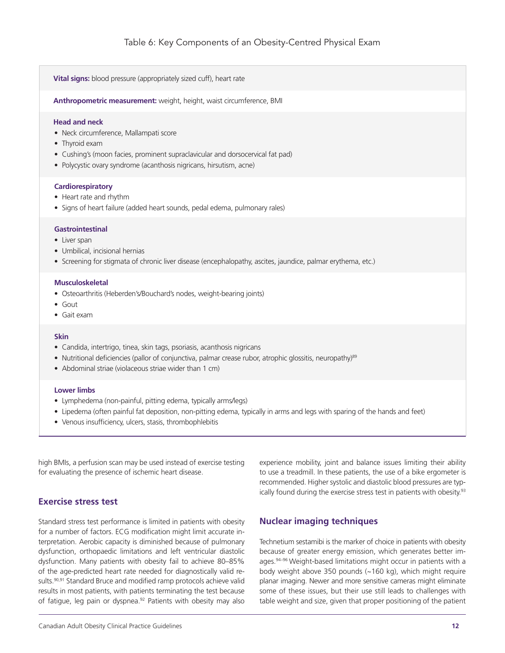**Vital signs:** blood pressure (appropriately sized cuff), heart rate

**Anthropometric measurement:** weight, height, waist circumference, BMI

#### **Head and neck**

- Neck circumference, Mallampati score
- Thyroid exam
- Cushing's (moon facies, prominent supraclavicular and dorsocervical fat pad)
- Polycystic ovary syndrome (acanthosis nigricans, hirsutism, acne)

#### **Cardiorespiratory**

- Heart rate and rhythm
- Signs of heart failure (added heart sounds, pedal edema, pulmonary rales)

#### **Gastrointestinal**

- Liver span
- Umbilical, incisional hernias
- • Screening for stigmata of chronic liver disease (encephalopathy, ascites, jaundice, palmar erythema, etc.)

#### **Musculoskeletal**

- Osteoarthritis (Heberden's/Bouchard's nodes, weight-bearing joints)
- • Gout
- • Gait exam

#### **Skin**

- Candida, intertrigo, tinea, skin tags, psoriasis, acanthosis nigricans
- Nutritional deficiencies (pallor of conjunctiva, palmar crease rubor, atrophic glossitis, neuropathy)<sup>89</sup>
- Abdominal striae (violaceous striae wider than 1 cm)

#### **Lower limbs**

- Lymphedema (non-painful, pitting edema, typically arms/legs)
- • Lipedema (often painful fat deposition, non-pitting edema, typically in arms and legs with sparing of the hands and feet)
- • Venous insufficiency, ulcers, stasis, thrombophlebitis

high BMIs, a perfusion scan may be used instead of exercise testing for evaluating the presence of ischemic heart disease.

# **Exercise stress test**

Standard stress test performance is limited in patients with obesity for a number of factors. ECG modification might limit accurate interpretation. Aerobic capacity is diminished because of pulmonary dysfunction, orthopaedic limitations and left ventricular diastolic dysfunction. Many patients with obesity fail to achieve 80–85% of the age-predicted heart rate needed for diagnostically valid results.<sup>90,91</sup> Standard Bruce and modified ramp protocols achieve valid results in most patients, with patients terminating the test because of fatigue, leg pain or dyspnea.<sup>92</sup> Patients with obesity may also

ically found during the exercise stress test in patients with obesity.<sup>93</sup> **Nuclear imaging techniques** 

> Technetium sestamibi is the marker of choice in patients with obesity because of greater energy emission, which generates better images.94–96 Weight-based limitations might occur in patients with a body weight above 350 pounds (~160 kg), which might require planar imaging. Newer and more sensitive cameras might eliminate some of these issues, but their use still leads to challenges with table weight and size, given that proper positioning of the patient

> experience mobility, joint and balance issues limiting their ability to use a treadmill. In these patients, the use of a bike ergometer is recommended. Higher systolic and diastolic blood pressures are typ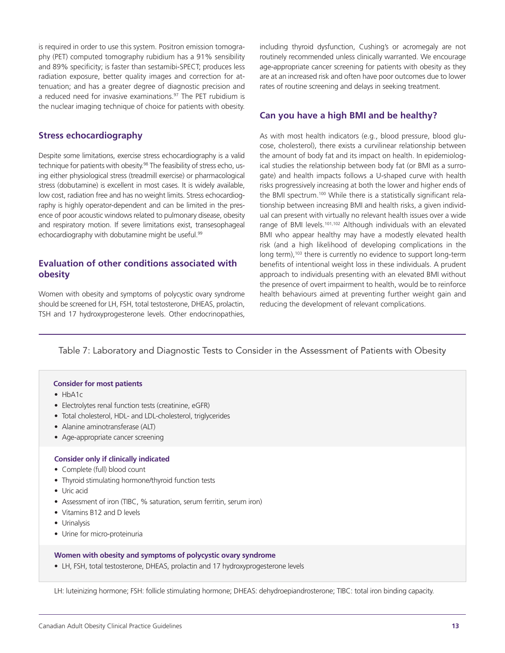is required in order to use this system. Positron emission tomography (PET) computed tomography rubidium has a 91% sensibility and 89% specificity; is faster than sestamibi-SPECT; produces less radiation exposure, better quality images and correction for attenuation; and has a greater degree of diagnostic precision and a reduced need for invasive examinations.<sup>97</sup> The PET rubidium is the nuclear imaging technique of choice for patients with obesity.

# **Stress echocardiography**

Despite some limitations, exercise stress echocardiography is a valid technique for patients with obesity.<sup>98</sup> The feasibility of stress echo, using either physiological stress (treadmill exercise) or pharmacological stress (dobutamine) is excellent in most cases. It is widely available, low cost, radiation free and has no weight limits. Stress echocardiography is highly operator-dependent and can be limited in the presence of poor acoustic windows related to pulmonary disease, obesity and respiratory motion. If severe limitations exist, transesophageal echocardiography with dobutamine might be useful.<sup>99</sup>

# **Evaluation of other conditions associated with obesity**

Women with obesity and symptoms of polycystic ovary syndrome should be screened for LH, FSH, total testosterone, DHEAS, prolactin, TSH and 17 hydroxyprogesterone levels. Other endocrinopathies, including thyroid dysfunction, Cushing's or acromegaly are not routinely recommended unless clinically warranted. We encourage age-appropriate cancer screening for patients with obesity as they are at an increased risk and often have poor outcomes due to lower rates of routine screening and delays in seeking treatment.

#### **Can you have a high BMI and be healthy?**

As with most health indicators (e.g., blood pressure, blood glucose, cholesterol), there exists a curvilinear relationship between the amount of body fat and its impact on health. In epidemiological studies the relationship between body fat (or BMI as a surrogate) and health impacts follows a U-shaped curve with health risks progressively increasing at both the lower and higher ends of the BMI spectrum.<sup>100</sup> While there is a statistically significant relationship between increasing BMI and health risks, a given individual can present with virtually no relevant health issues over a wide range of BMI levels.101,102 Although individuals with an elevated BMI who appear healthy may have a modestly elevated health risk (and a high likelihood of developing complications in the long term),<sup>103</sup> there is currently no evidence to support long-term benefits of intentional weight loss in these individuals. A prudent approach to individuals presenting with an elevated BMI without the presence of overt impairment to health, would be to reinforce health behaviours aimed at preventing further weight gain and reducing the development of relevant complications.

#### Table 7: Laboratory and Diagnostic Tests to Consider in the Assessment of Patients with Obesity

#### **Consider for most patients**

- HbA1c
- Electrolytes renal function tests (creatinine, eGFR)
- Total cholesterol, HDL- and LDL-cholesterol, triglycerides
- Alanine aminotransferase (ALT)
- Age-appropriate cancer screening

#### **Consider only if clinically indicated**

- Complete (full) blood count
- Thyroid stimulating hormone/thyroid function tests
- Uric acid
- Assessment of iron (TIBC, % saturation, serum ferritin, serum iron)
- • Vitamins B12 and D levels
- • Urinalysis
- Urine for micro-proteinuria

#### **Women with obesity and symptoms of polycystic ovary syndrome**

• LH, FSH, total testosterone, DHEAS, prolactin and 17 hydroxyprogesterone levels

LH: luteinizing hormone; FSH: follicle stimulating hormone; DHEAS: dehydroepiandrosterone; TIBC: total iron binding capacity.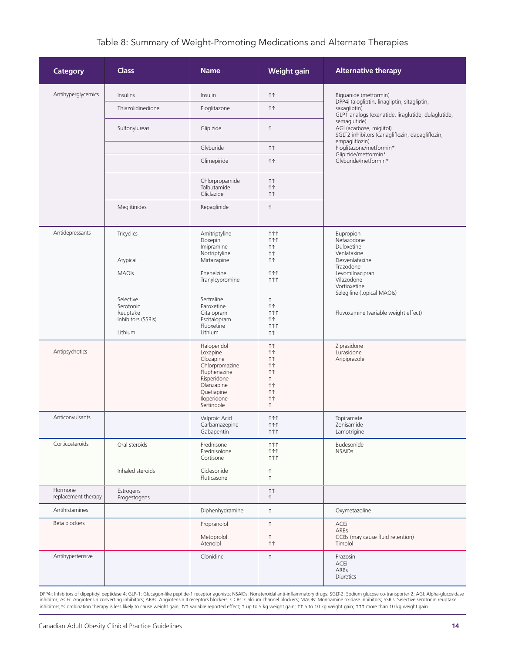# Table 8: Summary of Weight-Promoting Medications and Alternate Therapies

| <b>Category</b>                | <b>Class</b>                                                        | <b>Name</b>                                                                                                                                    | <b>Weight gain</b>                                                                                                      | <b>Alternative therapy</b>                                                                                         |
|--------------------------------|---------------------------------------------------------------------|------------------------------------------------------------------------------------------------------------------------------------------------|-------------------------------------------------------------------------------------------------------------------------|--------------------------------------------------------------------------------------------------------------------|
| Antihyperglycemics             | Insulins                                                            | Insulin                                                                                                                                        | <b>11</b>                                                                                                               | Biguanide (metformin)                                                                                              |
|                                | Thiazolidinedione                                                   | Pioglitazone                                                                                                                                   | <b>11</b>                                                                                                               | DPP4i (alogliptin, linagliptin, sitagliptin,<br>saxagliptin)<br>GLP1 analogs (exenatide, liraglutide, dulaglutide, |
|                                | Sulfonylureas                                                       | Glipizide                                                                                                                                      | $\uparrow$                                                                                                              | semaglutide)<br>AGI (acarbose, miglitol)<br>SGLT2 inhibitors (canagliflozin, dapagliflozin,<br>empagliflozin)      |
|                                |                                                                     | Glyburide                                                                                                                                      | <b>11</b>                                                                                                               | Pioglitazone/metformin*<br>Glipizide/metformin*                                                                    |
|                                |                                                                     | Glimepiride                                                                                                                                    | <b>11</b>                                                                                                               | Glyburide/metformin*                                                                                               |
|                                |                                                                     | Chlorpropamide<br>Tolbutamide<br>Gliclazide                                                                                                    | 11<br>11<br><b>11</b>                                                                                                   |                                                                                                                    |
|                                | Meglitinides                                                        | Repaglinide                                                                                                                                    | $\uparrow$                                                                                                              |                                                                                                                    |
| Antidepressants                | Tricyclics<br>Atypical<br><b>MAOIs</b>                              | Amitriptyline<br>Doxepin<br>Imipramine<br>Nortriptyline<br>Mirtazapine<br>Phenelzine                                                           | <b>111</b><br><b>111</b><br>11<br><b>11</b><br><b>↑↑</b><br><b>111</b>                                                  | Bupropion<br>Nefazodone<br>Duloxetine<br>Venlafaxine<br>Desvenlafaxine<br>Trazodone<br>Levomilnacipran             |
|                                | Selective<br>Serotonin<br>Reuptake<br>Inhibitors (SSRIs)<br>Lithium | Tranylcypromine<br>Sertraline<br>Paroxetine<br>Citalopram<br>Escitalopram<br>Fluoxetine<br>Lithium                                             | <b>111</b><br>$\uparrow$<br><b>↑↑</b><br><b>111</b><br><b>↑↑</b><br><b>111</b><br><b>11</b>                             | Vilazodone<br>Vortioxetine<br>Selegiline (topical MAOIs)<br>Fluvoxamine (variable weight effect)                   |
| Antipsychotics                 |                                                                     | Haloperidol<br>Loxapine<br>Clozapine<br>Chlorpromazine<br>Fluphenazine<br>Risperidone<br>Olanzapine<br>Quetiapine<br>Iloperidone<br>Sertindole | <b>11</b><br><b>11</b><br><b>11</b><br><b>11</b><br><b>11</b><br>↑<br><b>11</b><br><b>11</b><br><b>11</b><br>$\uparrow$ | Ziprasidone<br>Lurasidone<br>Aripiprazole                                                                          |
| Anticonvulsants                |                                                                     | Valproic Acid<br>Carbamazepine<br>Gabapentin                                                                                                   | <b>111</b><br>ተተተ<br>ተተተ                                                                                                | Topiramate<br>Zonisamide<br>Lamotrigine                                                                            |
| Corticosteroids                | Oral steroids                                                       | Prednisone<br>Prednisolone<br>Cortisone                                                                                                        | ተተተ<br><b>111</b><br>ተተተ                                                                                                | Budesonide<br><b>NSAIDs</b>                                                                                        |
|                                | Inhaled steroids                                                    | Ciclesonide<br>Fluticasone                                                                                                                     | $\uparrow$<br>$\uparrow$                                                                                                |                                                                                                                    |
| Hormone<br>replacement therapy | Estrogens<br>Progestogens                                           |                                                                                                                                                | <b>11</b><br>$\uparrow$                                                                                                 |                                                                                                                    |
| Antihistamines                 |                                                                     | Diphenhydramine                                                                                                                                | $\uparrow$                                                                                                              | Oxymetazoline                                                                                                      |
| Beta blockers                  |                                                                     | Propranolol                                                                                                                                    | $\uparrow$                                                                                                              | ACEi                                                                                                               |
|                                |                                                                     | Metoprolol<br>Atenolol                                                                                                                         | ↑<br>11                                                                                                                 | ARBs<br>CCBs (may cause fluid retention)<br>Timolol                                                                |
| Antihypertensive               |                                                                     | Clonidine                                                                                                                                      | $\uparrow$                                                                                                              | Prazosin<br>ACEi<br>ARBs<br><b>Diuretics</b>                                                                       |

DPP4i: Inhibitors of dipeptidyl peptidase 4; GLP-1: Glucagon-like peptide-1 receptor agonists; NSAIDs: Nonsteroidal anti-inflammatory drugs: SGLT-2: Sodium glucose co-transporter 2; AGI: Alpha-glucosidase<br>inhibitor; ACEi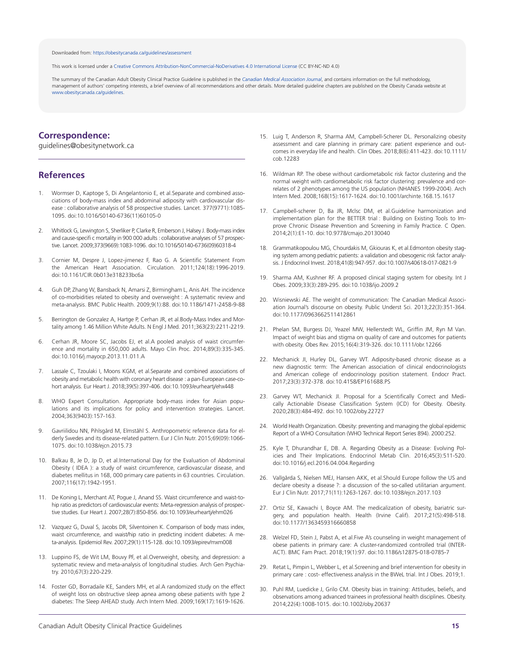#### Downloaded from: [https://obesitycanada.ca/guidelines/assessment](https://obesitycanada.ca/guidelines/assessment/)

This work is licensed under a Creative Commons [Attribution-NonCommercial-NoDerivatives](https://creativecommons.org/licenses/by-nc-nd/4.0/) 4.0 International License (CC BY-NC-ND 4.0)

The summary of the Canadian Adult Obesity Clinical Practice Guideline is published in the *[Canadian Medical Association Journal](https://www.cmaj.ca/content/192/31/E875)*, and contains information on the full methodology, management of authors' competing interests, a brief overview of all recommendations and other details. More detailed guideline chapters are published on the Obesity Canada website at [www.obesitycanada.ca/guidelines.](https://obesitycanada.ca/guidelines/)

# **Correspondence:**

guidelines@obesitynetwork.ca

#### **References**

- 1. Wormser D, Kaptoge S, Di Angelantonio E, et al. Separate and combined associations of body-mass index and abdominal adiposity with cardiovascular disease : collaborative analysis of 58 prospective studies. Lancet. 377(9771):1085- 1095. doi:10.1016/S0140-6736(11)60105-0
- 2. Whitlock G, Lewington S, Sherliker P, Clarke R, Emberson J, Halsey J. Body-mass index and cause-specifi c mortality in 900 000 adults : collaborative analyses of 57 prospective. Lancet. 2009;373(9669):1083-1096. doi:10.1016/S0140-6736(09)60318-4
- 3. Cornier M, Despre J, Lopez-jimenez F, Rao G. A Scientific Statement From the American Heart Association. Circulation. 2011;124(18):1996-2019. doi:10.1161/CIR.0b013e318233bc6a
- 4. Guh DP, Zhang W, Bansback N, Amarsi Z, Birmingham L, Anis AH. The incidence of co-morbidities related to obesity and overweight : A systematic review and meta-analysis. BMC Public Health. 2009;9(1):88. doi:10.1186/1471-2458-9-88
- 5. Berrington de Gonzalez A, Hartge P, Cerhan JR, et al.Body-Mass Index and Mortality among 1.46 Million White Adults. N Engl J Med. 2011;363(23):2211-2219.
- 6. Cerhan JR, Moore SC, Jacobs EJ, et al.A pooled analysis of waist circumference and mortality in 650,000 adults. Mayo Clin Proc. 2014;89(3):335-345. doi:10.1016/j.mayocp.2013.11.011.A
- 7. Lassale C, Tzoulaki I, Moons KGM, et al.Separate and combined associations of obesity and metabolic health with coronary heart disease : a pan-European case-cohort analysis. Eur Heart J. 2018;39(5):397-406. doi:10.1093/eurheartj/ehx448
- 8. WHO Expert Consultation. Appropriate body-mass index for Asian populations and its implications for policy and intervention strategies. Lancet. 2004;363(9403):157-163.
- 9. Gavriilidou NN, Pihlsgård M, Elmståhl S. Anthropometric reference data for elderly Swedes and its disease-related pattern. Eur J Clin Nutr. 2015;69(09):1066- 1075. doi:10.1038/ejcn.2015.73
- 10. Balkau B, Je D, Jp D, et al.International Day for the Evaluation of Abdominal Obesity ( IDEA ): a study of waist circumference, cardiovascular disease, and diabetes mellitus in 168, 000 primary care patients in 63 countries. Circulation. 2007;116(17):1942-1951.
- 11. De Koning L, Merchant AT, Pogue J, Anand SS. Waist circumference and waist-tohip ratio as predictors of cardiovascular events: Meta-regression analysis of prospective studies. Eur Heart J. 2007;28(7):850-856. doi:10.1093/eurheartj/ehm026
- 12. Vazquez G, Duval S, Jacobs DR, Silventoinen K. Comparison of body mass index, waist circumference, and waist/hip ratio in predicting incident diabetes: A meta-analysis. Epidemiol Rev. 2007;29(1):115-128. doi:10.1093/epirev/mxm008
- 13. Luppino FS, de Wit LM, Bouvy PF, et al.Overweight, obesity, and depression: a systematic review and meta-analysis of longitudinal studies. Arch Gen Psychiatry. 2010;67(3):220-229.
- 14. Foster GD, Borradaile KE, Sanders MH, et al.A randomized study on the effect of weight loss on obstructive sleep apnea among obese patients with type 2 diabetes: The Sleep AHEAD study. Arch Intern Med. 2009;169(17):1619-1626.
- 15. Luig T, Anderson R, Sharma AM, Campbell-Scherer DL. Personalizing obesity assessment and care planning in primary care: patient experience and outcomes in everyday life and health. Clin Obes. 2018;8(6):411-423. doi:10.1111/ cob.12283
- 16. Wildman RP. The obese without cardiometabolic risk factor clustering and the normal weight with cardiometabolic risk factor clustering: prevalence and correlates of 2 phenotypes among the US population (NHANES 1999-2004). Arch Intern Med. 2008;168(15):1617-1624. doi:10.1001/archinte.168.15.1617
- 17. Campbell-scherer D, Ba JR, Mclsc DM, et al.Guideline harmonization and implementation plan for the BETTER trial : Building on Existing Tools to Improve Chronic Disease Prevention and Screening in Family Practice. C Open. 2014;2(1):E1-10. doi:10.9778/cmajo.20130040
- 18. Grammatikopoulou MG, Chourdakis M, Gkiouras K, et al.Edmonton obesity staging system among pediatric patients: a validation and obesogenic risk factor analysis. J Endocrinol Invest. 2018;41(8):947-957. doi:10.1007/s40618-017-0821-9
- 19. Sharma AM, Kushner RF. A proposed clinical staging system for obesity. Int J Obes. 2009;33(3):289-295. doi:10.1038/ijo.2009.2
- 20. Wisniewski AE. The weight of communication: The Canadian Medical Association Journal's discourse on obesity. Public Underst Sci. 2013;22(3):351-364. doi:10.1177/0963662511412861
- 21. Phelan SM, Burgess DJ, Yeazel MW, Hellerstedt WL, Griffin JM, Ryn M Van. Impact of weight bias and stigma on quality of care and outcomes for patients with obesity. Obes Rev. 2015;16(4):319-326. doi:10.1111/obr.12266
- 22. Mechanick JI, Hurley DL, Garvey WT. Adiposity-based chronic disease as a new diagnostic term: The American association of clinical endocrinologists and American college of endocrinology position statement. Endocr Pract. 2017;23(3):372-378. doi:10.4158/EP161688.PS
- 23. Garvey WT, Mechanick JI. Proposal for a Scientifically Correct and Medically Actionable Disease Classification System (ICD) for Obesity. Obesity. 2020;28(3):484-492. doi:10.1002/oby.22727
- 24. World Health Organization. Obesity: preventing and managing the global epidemic Report of a WHO Consultation (WHO Technical Report Series 894). 2000:252.
- 25. Kyle T, Dhurandhar E, DB. A. Regarding Obesity as a Disease: Evolving Policies and Their Implications. Endocrinol Metab Clin. 2016;45(3):511-520. doi:10.1016/j.ecl.2016.04.004.Regarding
- 26. Vallgårda S, Nielsen MEJ, Hansen AKK, et al.Should Europe follow the US and declare obesity a disease ?: a discussion of the so-called utilitarian argument. Eur J Clin Nutr. 2017;71(11):1263-1267. doi:10.1038/ejcn.2017.103
- 27. Ortiz SE, Kawachi I, Boyce AM. The medicalization of obesity, bariatric surgery, and population health. Health (Irvine Calif). 2017;21(5):498-518. doi:10.1177/1363459316660858
- 28. Welzel FD, Stein J, Pabst A, et al. Five A's counseling in weight management of obese patients in primary care: A cluster-randomized controlled trial (INTER-ACT). BMC Fam Pract. 2018;19(1):97. doi:10.1186/s12875-018-0785-7
- 29. Retat L, Pimpin L, Webber L, et al. Screening and brief intervention for obesity in primary care : cost- effectiveness analysis in the BWeL trial. Int J Obes. 2019;1.
- 30. Puhl RM, Luedicke J, Grilo CM. Obesity bias in training: Attitudes, beliefs, and observations among advanced trainees in professional health disciplines. Obesity. 2014;22(4):1008-1015. doi:10.1002/oby.20637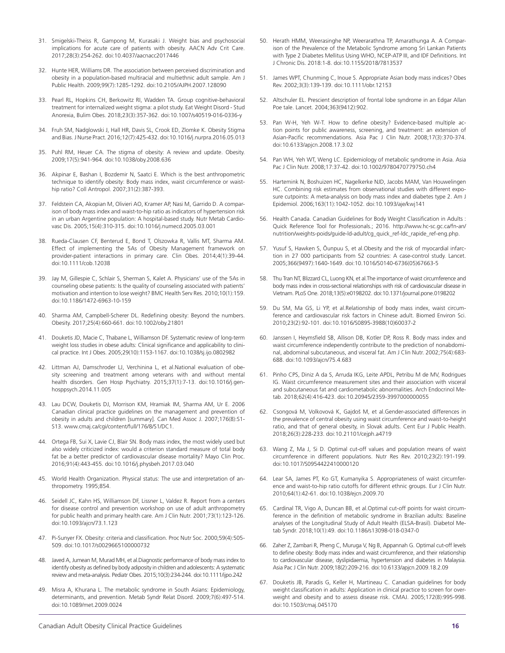- 31. Smigelski-Theiss R, Gampong M, Kurasaki J. Weight bias and psychosocial implications for acute care of patients with obesity. AACN Adv Crit Care. 2017;28(3):254-262. doi:10.4037/aacnacc2017446
- 32. Hunte HER, Williams DR. The association between perceived discrimination and obesity in a population-based multiracial and multiethnic adult sample. Am J Public Health. 2009;99(7):1285-1292. doi:10.2105/AJPH.2007.128090
- 33. Pearl RL, Hopkins CH, Berkowitz RI, Wadden TA. Group cognitive-behavioral treatment for internalized weight stigma: a pilot study. Eat Weight Disord - Stud Anorexia, Bulim Obes. 2018;23(3):357-362. doi:10.1007/s40519-016-0336-y
- 34. Fruh SM, Nadglowski J, Hall HR, Davis SL, Crook ED, Zlomke K. Obesity Stigma and Bias. J Nurse Pract. 2016;12(7):425-432. doi:10.1016/j.nurpra.2016.05.013
- 35. Puhl RM, Heuer CA. The stigma of obesity: A review and update. Obesity. 2009;17(5):941-964. doi:10.1038/oby.2008.636
- 36. Akpinar E, Bashan I, Bozdemir N, Saatci E. Which is the best anthropometric technique to identify obesity: Body mass index, waist circumference or waisthip ratio? Coll Antropol. 2007;31(2):387-393.
- 37. Feldstein CA, Akopian M, Olivieri AO, Kramer AP, Nasi M, Garrido D. A comparison of body mass index and waist-to-hip ratio as indicators of hypertension risk in an urban Argentine population: A hospital-based study. Nutr Metab Cardiovasc Dis. 2005;15(4):310-315. doi:10.1016/j.numecd.2005.03.001
- 38. Rueda-Clausen CF, Benterud E, Bond T, Olszowka R, Vallis MT, Sharma AM. Effect of implementing the 5As of Obesity Management framework on provider-patient interactions in primary care. Clin Obes. 2014;4(1):39-44. doi:10.1111/cob.12038
- 39. Jay M, Gillespie C, Schlair S, Sherman S, Kalet A. Physicians' use of the 5As in counseling obese patients: Is the quality of counseling associated with patients' motivation and intention to lose weight? BMC Health Serv Res. 2010;10(1):159. doi:10.1186/1472-6963-10-159
- 40. Sharma AM, Campbell-Scherer DL. Redefining obesity: Beyond the numbers. Obesity. 2017;25(4):660-661. doi:10.1002/oby.21801
- 41. Douketis JD, Macie C, Thabane L, Williamson DF. Systematic review of long-term weight loss studies in obese adults: Clinical significance and applicability to clinical practice. Int J Obes. 2005;29(10):1153-1167. doi:10.1038/sj.ijo.0802982
- 42. Littman AJ, Damschroder LJ, Verchinina L, et al.National evaluation of obesity screening and treatment among veterans with and without mental health disorders. Gen Hosp Psychiatry. 2015;37(1):7-13. doi:10.1016/j.genhosppsych.2014.11.005
- 43. Lau DCW, Douketis DJ, Morrison KM, Hramiak IM, Sharma AM, Ur E. 2006 Canadian clinical practice guidelines on the management and prevention of obesity in adults and children [summary]. Can Med Assoc J. 2007;176(8):S1- S13. www.cmaj.ca/cgi/content/full/176/8/S1/DC1.
- 44. Ortega FB, Sui X, Lavie CJ, Blair SN. Body mass index, the most widely used but also widely criticized index: would a criterion standard measure of total body fat be a better predictor of cardiovascular disease mortality? Mayo Clin Proc. 2016;91(4):443-455. doi:10.1016/j.physbeh.2017.03.040
- 45. World Health Organization. Physical status: The use and interpretation of anthropometry. 1995;854.
- 46. Seidell JC, Kahn HS, Williamson DF, Lissner L, Valdez R. Report from a centers for disease control and prevention workshop on use of adult anthropometry for public health and primary health care. Am J Clin Nutr. 2001;73(1):123-126. doi:10.1093/ajcn/73.1.123
- 47. Pi-Sunyer FX. Obesity: criteria and classification. Proc Nutr Soc. 2000;59(4):505-509. doi:10.1017/s0029665100000732
- 48. Javed A, Jumean M, Murad MH, et al.Diagnostic performance of body mass index to identify obesity as defined by body adiposity in children and adolescents: A systematic review and meta-analysis. Pediatr Obes. 2015;10(3):234-244. doi:10.1111/ijpo.242
- Misra A, Khurana L. The metabolic syndrome in South Asians: Epidemiology, determinants, and prevention. Metab Syndr Relat Disord. 2009;7(6):497-514. doi:10.1089/met.2009.0024
- 50. Herath HMM, Weerasinghe NP, Weerarathna TP, Amarathunga A. A Comparison of the Prevalence of the Metabolic Syndrome among Sri Lankan Patients with Type 2 Diabetes Mellitus Using WHO, NCEP-ATP III, and IDF Definitions. Int J Chronic Dis. 2018:1-8. doi:10.1155/2018/7813537
- 51. James WPT, Chunming C, Inoue S. Appropriate Asian body mass indices? Obes Rev. 2002;3(3):139-139. doi:10.1111/obr.12153
- 52. Altschuler EL. Prescient description of frontal lobe syndrome in an Edgar Allan Poe tale. Lancet. 2004;363(9412):902.
- 53. Pan W-H, Yeh W-T. How to define obesity? Evidence-based multiple action points for public awareness, screening, and treatment: an extension of Asian-Pacific recommendations. Asia Pac J Clin Nutr. 2008;17(3):370-374. doi:10.6133/apjcn.2008.17.3.02
- 54. Pan WH, Yeh WT, Weng LC. Epidemiology of metabolic syndrome in Asia. Asia. Pac J Clin Nutr. 2008;17:37-42. doi:10.1002/9780470779750.ch4
- 55. Hartemink N, Boshuizen HC, Nagelkerke NJD, Jacobs MAM, Van Houwelingen HC. Combining risk estimates from observational studies with different exposure cutpoints: A meta-analysis on body mass index and diabetes type 2. Am J Epidemiol. 2006;163(11):1042-1052. doi:10.1093/aje/kwj141
- 56. Health Canada. Canadian Guidelines for Body Weight Classification in Adults : Quick Reference Tool for Professionals.; 2016. http://www.hc-sc.gc.ca/fn-an/ nutrition/weights-poids/guide-ld-adult/cg\_quick\_ref-ldc\_rapide\_ref-eng.php.
- 57. Yusuf S, Hawken S, Ôunpuu S, et al.Obesity and the risk of myocardial infarction in 27 000 participants from 52 countries: A case-control study. Lancet. 2005;366(9497):1640-1649. doi:10.1016/S0140-6736(05)67663-5
- 58. Thu Tran NT, Blizzard CL, Luong KN, et al. The importance of waist circumference and body mass index in cross-sectional relationships with risk of cardiovascular disease in Vietnam. PLoS One. 2018;13(5):e0198202. doi:10.1371/journal.pone.0198202
- 59. Du SM, Ma GS, Li YP, et al.Relationship of body mass index, waist circumference and cardiovascular risk factors in Chinese adult. Biomed Environ Sci. 2010;23(2):92-101. doi:10.1016/S0895-3988(10)60037-2
- 60. Janssen I, Heymsfield SB, Allison DB, Kotler DP, Ross R. Body mass index and waist circumference independently contribute to the prediction of nonabdominal, abdominal subcutaneous, and visceral fat. Am J Clin Nutr. 2002;75(4):683- 688. doi:10.1093/ajcn/75.4.683
- 61. Pinho CPS, Diniz A da S, Arruda IKG, Leite APDL, Petribu M de MV, Rodrigues IG. Waist circumference measurement sites and their association with visceral and subcutaneous fat and cardiometabolic abnormalities. Arch Endocrinol Metab. 2018;62(4):416-423. doi:10.20945/2359-3997000000055
- 62. Csongová M, Volkovová K, Gajdoš M, et al.Gender-associated differences in the prevalence of central obesity using waist circumference and waist-to-height ratio, and that of general obesity, in Slovak adults. Cent Eur J Public Health. 2018;26(3):228-233. doi:10.21101/cejph.a4719
- 63. Wang Z, Ma J, Si D. Optimal cut-off values and population means of waist circumference in different populations. Nutr Res Rev. 2010;23(2):191-199. doi:10.1017/S0954422410000120
- 64. Lear SA, James PT, Ko GT, Kumanyika S. Appropriateness of waist circumference and waist-to-hip ratio cutoffs for different ethnic groups. Eur J Clin Nutr. 2010;64(1):42-61. doi:10.1038/ejcn.2009.70
- 65. Cardinal TR, Vigo A, Duncan BB, et al.Optimal cut-off points for waist circumference in the definition of metabolic syndrome in Brazilian adults: Baseline analyses of the Longitudinal Study of Adult Health (ELSA-Brasil). Diabetol Metab Syndr. 2018;10(1):49. doi:10.1186/s13098-018-0347-0
- 66. Zaher Z, Zambari R, Pheng C, Muruga V, Ng B, Appannah G. Optimal cut-off levels to define obesity: Body mass index and waist circumference, and their relationship to cardiovascular disease, dyslipidaemia, hypertension and diabetes in Malaysia. Asia Pac J Clin Nutr. 2009;18(2):209-216. doi:10.6133/apjcn.2009.18.2.09
- 67. Douketis JB, Paradis G, Keller H, Martineau C. Canadian guidelines for body weight classification in adults: Application in clinical practice to screen for overweight and obesity and to assess disease risk. CMAJ. 2005;172(8):995-998. doi:10.1503/cmaj.045170